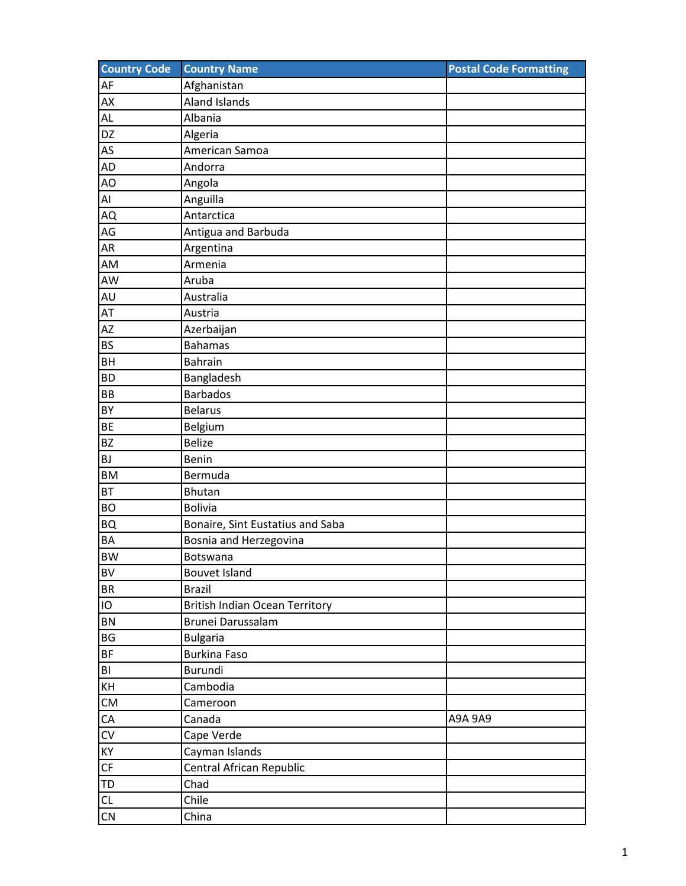| <b>Country Code</b> | <b>Country Name</b>                   | <b>Postal Code Formatting</b> |
|---------------------|---------------------------------------|-------------------------------|
| AF                  | Afghanistan                           |                               |
| AX                  | <b>Aland Islands</b>                  |                               |
| AL                  | Albania                               |                               |
| DZ                  | Algeria                               |                               |
| AS                  | American Samoa                        |                               |
| <b>AD</b>           | Andorra                               |                               |
| AO                  | Angola                                |                               |
| Al                  | Anguilla                              |                               |
| AQ                  | Antarctica                            |                               |
| AG                  | Antigua and Barbuda                   |                               |
| <b>AR</b>           | Argentina                             |                               |
| AM                  | Armenia                               |                               |
| AW                  | Aruba                                 |                               |
| AU                  | Australia                             |                               |
| AT                  | Austria                               |                               |
| AZ                  | Azerbaijan                            |                               |
| <b>BS</b>           | <b>Bahamas</b>                        |                               |
| <b>BH</b>           | <b>Bahrain</b>                        |                               |
| <b>BD</b>           | Bangladesh                            |                               |
| BB                  | <b>Barbados</b>                       |                               |
| <b>BY</b>           | <b>Belarus</b>                        |                               |
| <b>BE</b>           | Belgium                               |                               |
| <b>BZ</b>           | <b>Belize</b>                         |                               |
| <b>BJ</b>           | Benin                                 |                               |
| <b>BM</b>           | Bermuda                               |                               |
| <b>BT</b>           | <b>Bhutan</b>                         |                               |
| <b>BO</b>           | <b>Bolivia</b>                        |                               |
| <b>BQ</b>           | Bonaire, Sint Eustatius and Saba      |                               |
| <b>BA</b>           | Bosnia and Herzegovina                |                               |
| <b>BW</b>           | Botswana                              |                               |
| BV                  | <b>Bouvet Island</b>                  |                               |
| <b>BR</b>           | <b>Brazil</b>                         |                               |
| IO                  | <b>British Indian Ocean Territory</b> |                               |
| <b>BN</b>           | Brunei Darussalam                     |                               |
| BG                  | <b>Bulgaria</b>                       |                               |
| <b>BF</b>           | <b>Burkina Faso</b>                   |                               |
| B <sub>l</sub>      | <b>Burundi</b>                        |                               |
| KH                  | Cambodia                              |                               |
| CM                  | Cameroon                              |                               |
| ${\sf CA}$          | Canada                                | A9A 9A9                       |
| ${\sf CV}$          | Cape Verde                            |                               |
| KY                  | Cayman Islands                        |                               |
| CF                  | Central African Republic              |                               |
| TD                  | Chad                                  |                               |
| CL                  | Chile                                 |                               |
| CN                  | China                                 |                               |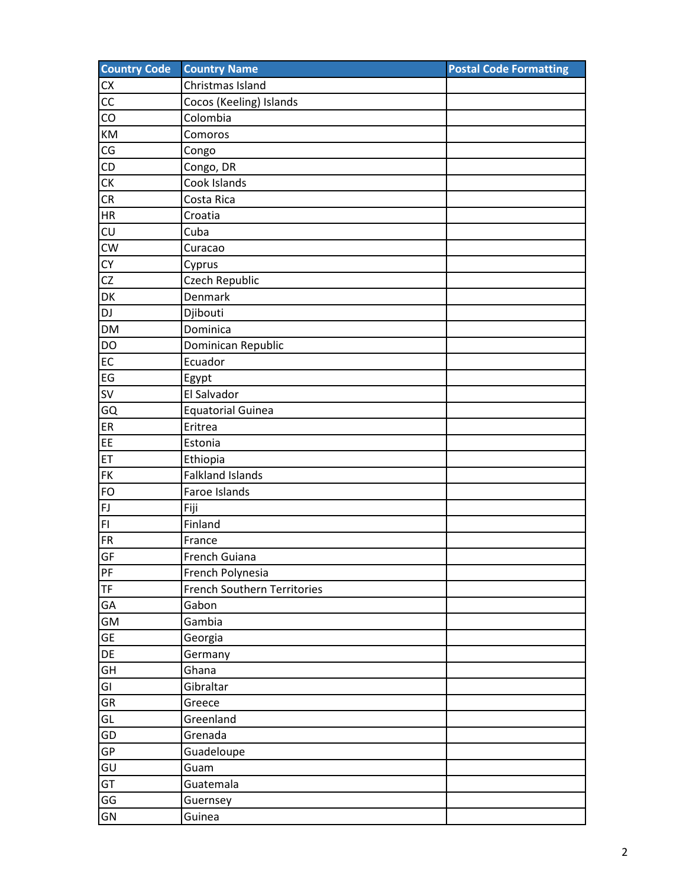| <b>Country Code</b> | <b>Country Name</b>         | <b>Postal Code Formatting</b> |
|---------------------|-----------------------------|-------------------------------|
| CX                  | Christmas Island            |                               |
| CC                  | Cocos (Keeling) Islands     |                               |
| CO                  | Colombia                    |                               |
| KM                  | Comoros                     |                               |
| CG                  | Congo                       |                               |
| CD                  | Congo, DR                   |                               |
| СK                  | Cook Islands                |                               |
| CR                  | Costa Rica                  |                               |
| ${\sf HR}$          | Croatia                     |                               |
| CU                  | Cuba                        |                               |
| <b>CW</b>           | Curacao                     |                               |
| CY                  | Cyprus                      |                               |
| CZ                  | Czech Republic              |                               |
| DK                  | Denmark                     |                               |
| DJ                  | Djibouti                    |                               |
| <b>DM</b>           | Dominica                    |                               |
| <b>DO</b>           | Dominican Republic          |                               |
| EC                  | Ecuador                     |                               |
| EG                  | Egypt                       |                               |
| <b>SV</b>           | El Salvador                 |                               |
| GQ                  | <b>Equatorial Guinea</b>    |                               |
| ER                  | Eritrea                     |                               |
| EE                  | Estonia                     |                               |
| ET                  | Ethiopia                    |                               |
| <b>FK</b>           | <b>Falkland Islands</b>     |                               |
| <b>FO</b>           | Faroe Islands               |                               |
| ${\sf FJ}$          | Fiji                        |                               |
| $\mathsf{FI}$       | Finland                     |                               |
| <b>FR</b>           | France                      |                               |
| GF                  | French Guiana               |                               |
| PF                  | French Polynesia            |                               |
| <b>TF</b>           | French Southern Territories |                               |
| GA                  | Gabon                       |                               |
| GM                  | Gambia                      |                               |
| GE                  | Georgia                     |                               |
| DE                  | Germany                     |                               |
| GH                  | Ghana                       |                               |
| GI                  | Gibraltar                   |                               |
| GR                  | Greece                      |                               |
| GL                  | Greenland                   |                               |
| GD                  | Grenada                     |                               |
| GP                  | Guadeloupe                  |                               |
| GU                  | Guam                        |                               |
| GT                  | Guatemala                   |                               |
| GG                  | Guernsey                    |                               |
| GN                  | Guinea                      |                               |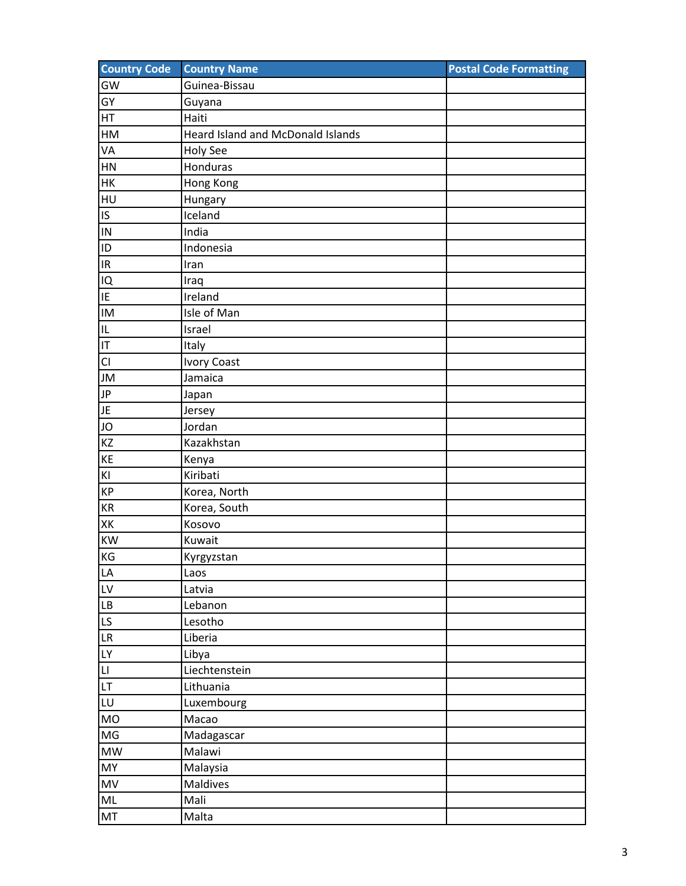| <b>Country Code</b>               | <b>Country Name</b>               | <b>Postal Code Formatting</b> |
|-----------------------------------|-----------------------------------|-------------------------------|
| GW                                | Guinea-Bissau                     |                               |
| GY                                | Guyana                            |                               |
| HT                                | Haiti                             |                               |
| HM                                | Heard Island and McDonald Islands |                               |
| VA                                | <b>Holy See</b>                   |                               |
| HN                                | Honduras                          |                               |
| HK                                | Hong Kong                         |                               |
| HU                                | Hungary                           |                               |
| IS                                | Iceland                           |                               |
| IN                                | India                             |                               |
| ID                                | Indonesia                         |                               |
| $\ensuremath{\mathsf{IR}}\xspace$ | Iran                              |                               |
| IQ                                | Iraq                              |                               |
| IE                                | Ireland                           |                               |
| IM                                | Isle of Man                       |                               |
| IL                                | Israel                            |                               |
| IT                                | Italy                             |                               |
| CI                                | <b>Ivory Coast</b>                |                               |
| JM                                | Jamaica                           |                               |
| JP                                | Japan                             |                               |
| JE                                | Jersey                            |                               |
| JO                                | Jordan                            |                               |
| KZ                                | Kazakhstan                        |                               |
| KE                                | Kenya                             |                               |
| $\mathsf{K} \mathsf{I}$           | Kiribati                          |                               |
| KP                                | Korea, North                      |                               |
| KR                                | Korea, South                      |                               |
| XK                                | Kosovo                            |                               |
| <b>KW</b>                         | Kuwait                            |                               |
| KG                                | Kyrgyzstan                        |                               |
| LA                                | Laos                              |                               |
| LV                                | Latvia                            |                               |
| LB                                | Lebanon                           |                               |
| LS                                | Lesotho                           |                               |
| LR                                | Liberia                           |                               |
| LY                                | Libya                             |                               |
| L                                 | Liechtenstein                     |                               |
| LT                                | Lithuania                         |                               |
| LU                                | Luxembourg                        |                               |
| <b>MO</b>                         | Macao                             |                               |
| MG                                | Madagascar                        |                               |
| $\textsf{MW}{}$                   | Malawi                            |                               |
| MY                                | Malaysia                          |                               |
| MV                                | Maldives                          |                               |
| $\sf ML$                          | Mali                              |                               |
| MT                                | Malta                             |                               |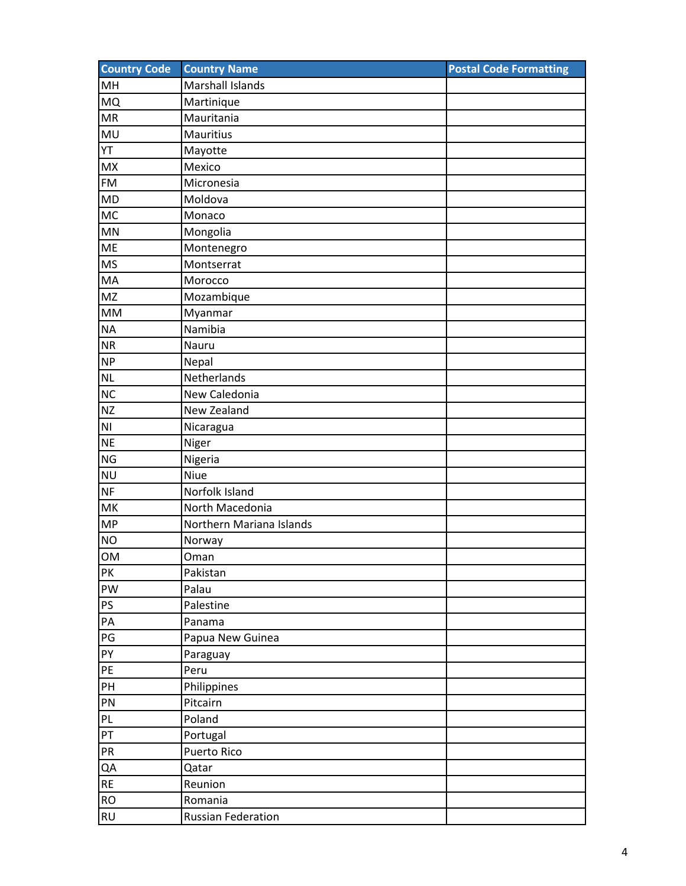| <b>Country Code</b>    | <b>Country Name</b>       | <b>Postal Code Formatting</b> |
|------------------------|---------------------------|-------------------------------|
| MH                     | Marshall Islands          |                               |
| <b>MQ</b>              | Martinique                |                               |
| <b>MR</b>              | Mauritania                |                               |
| MU                     | <b>Mauritius</b>          |                               |
| YT                     | Mayotte                   |                               |
| <b>MX</b>              | Mexico                    |                               |
| <b>FM</b>              | Micronesia                |                               |
| <b>MD</b>              | Moldova                   |                               |
| <b>MC</b>              | Monaco                    |                               |
| <b>MN</b>              | Mongolia                  |                               |
| <b>ME</b>              | Montenegro                |                               |
| <b>MS</b>              | Montserrat                |                               |
| MA                     | Morocco                   |                               |
| MZ                     | Mozambique                |                               |
| $\mathsf{MM}$          | Myanmar                   |                               |
| <b>NA</b>              | Namibia                   |                               |
| <b>NR</b>              | Nauru                     |                               |
| <b>NP</b>              | Nepal                     |                               |
| <b>NL</b>              | Netherlands               |                               |
| NC                     | New Caledonia             |                               |
| <b>NZ</b>              | New Zealand               |                               |
| $\mathsf{N}\mathsf{I}$ | Nicaragua                 |                               |
| <b>NE</b>              | Niger                     |                               |
| <b>NG</b>              | Nigeria                   |                               |
| <b>NU</b>              | Niue                      |                               |
| <b>NF</b>              | Norfolk Island            |                               |
| MK                     | North Macedonia           |                               |
| <b>MP</b>              | Northern Mariana Islands  |                               |
| <b>NO</b>              | Norway                    |                               |
| OM                     | Oman                      |                               |
| PK                     | Pakistan                  |                               |
| PW                     | Palau                     |                               |
| PS                     | Palestine                 |                               |
| PA                     | Panama                    |                               |
| $\mathsf{PG}$          | Papua New Guinea          |                               |
| PY                     | Paraguay                  |                               |
| PE                     | Peru                      |                               |
| PH                     | Philippines               |                               |
| PN                     | Pitcairn                  |                               |
| PL                     | Poland                    |                               |
| PT                     | Portugal                  |                               |
| ${\sf PR}$             | Puerto Rico               |                               |
| QA                     | Qatar                     |                               |
| RE                     | Reunion                   |                               |
| $\mathsf{RO}$          | Romania                   |                               |
| <b>RU</b>              | <b>Russian Federation</b> |                               |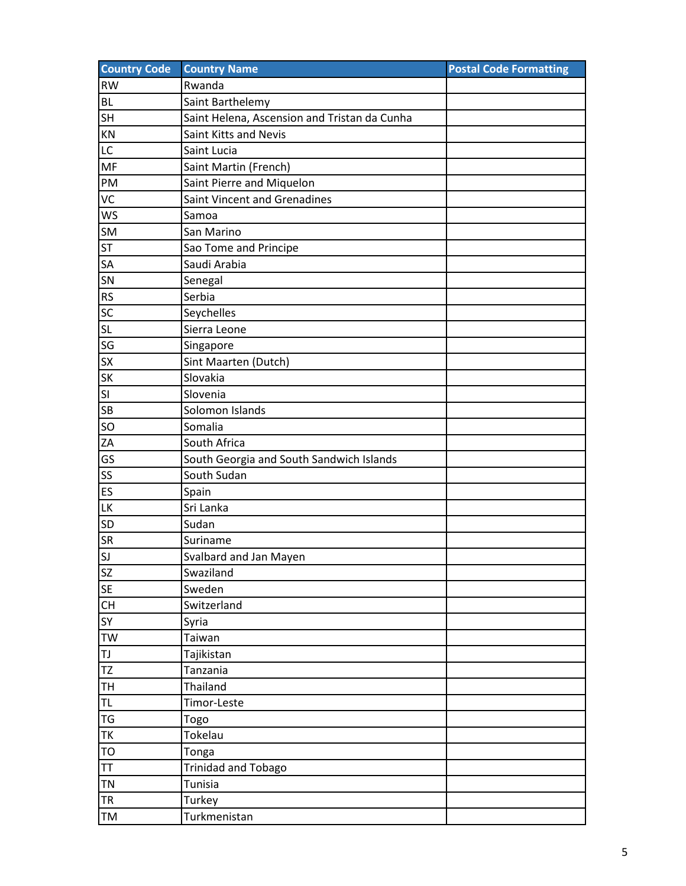| <b>Country Code</b> | <b>Country Name</b>                          | <b>Postal Code Formatting</b> |
|---------------------|----------------------------------------------|-------------------------------|
| <b>RW</b>           | Rwanda                                       |                               |
| <b>BL</b>           | Saint Barthelemy                             |                               |
| <b>SH</b>           | Saint Helena, Ascension and Tristan da Cunha |                               |
| KN                  | Saint Kitts and Nevis                        |                               |
| LC                  | Saint Lucia                                  |                               |
| <b>MF</b>           | Saint Martin (French)                        |                               |
| PM                  | Saint Pierre and Miquelon                    |                               |
| VC                  | Saint Vincent and Grenadines                 |                               |
| <b>WS</b>           | Samoa                                        |                               |
| <b>SM</b>           | San Marino                                   |                               |
| <b>ST</b>           | Sao Tome and Principe                        |                               |
| SA                  | Saudi Arabia                                 |                               |
| SN                  | Senegal                                      |                               |
| <b>RS</b>           | Serbia                                       |                               |
| SC                  | Seychelles                                   |                               |
| SL                  | Sierra Leone                                 |                               |
| SG                  | Singapore                                    |                               |
| <b>SX</b>           | Sint Maarten (Dutch)                         |                               |
| <b>SK</b>           | Slovakia                                     |                               |
| <b>SI</b>           | Slovenia                                     |                               |
| <b>SB</b>           | Solomon Islands                              |                               |
| <b>SO</b>           | Somalia                                      |                               |
| ZA                  | South Africa                                 |                               |
| GS                  | South Georgia and South Sandwich Islands     |                               |
| <b>SS</b>           | South Sudan                                  |                               |
| ES                  | Spain                                        |                               |
| LK                  | Sri Lanka                                    |                               |
| <b>SD</b>           | Sudan                                        |                               |
| <b>SR</b>           | Suriname                                     |                               |
| SJ                  | Svalbard and Jan Mayen                       |                               |
| <b>SZ</b>           | Swaziland                                    |                               |
| <b>SE</b>           | Sweden                                       |                               |
| CH                  | Switzerland                                  |                               |
| <b>SY</b>           | Syria                                        |                               |
| TW                  | Taiwan                                       |                               |
| TJ                  | Tajikistan                                   |                               |
| <b>TZ</b>           | Tanzania                                     |                               |
| <b>TH</b>           | Thailand                                     |                               |
| TL                  | Timor-Leste                                  |                               |
| TG                  | Togo                                         |                               |
| <b>TK</b>           | Tokelau                                      |                               |
| TO                  | Tonga                                        |                               |
| TT                  | <b>Trinidad and Tobago</b>                   |                               |
| <b>TN</b>           | Tunisia                                      |                               |
| <b>TR</b>           | Turkey                                       |                               |
| TM                  | Turkmenistan                                 |                               |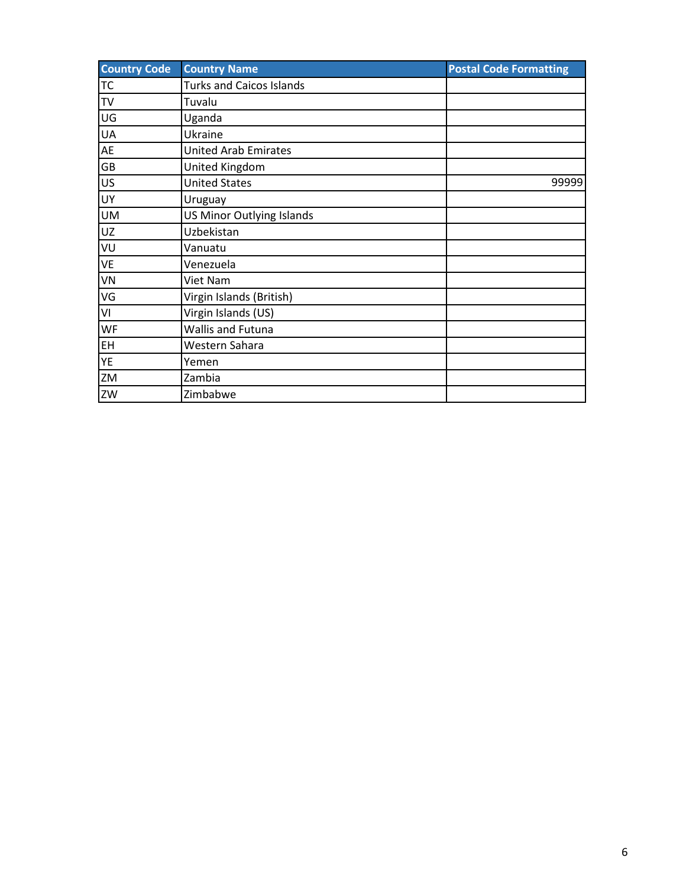| <b>Country Code</b> | <b>Country Name</b>             | <b>Postal Code Formatting</b> |
|---------------------|---------------------------------|-------------------------------|
| <b>TC</b>           | <b>Turks and Caicos Islands</b> |                               |
| TV                  | Tuvalu                          |                               |
| UG                  | Uganda                          |                               |
| <b>UA</b>           | Ukraine                         |                               |
| AE                  | <b>United Arab Emirates</b>     |                               |
| GB                  | United Kingdom                  |                               |
| US                  | <b>United States</b>            | 99999                         |
| <b>UY</b>           | Uruguay                         |                               |
| <b>UM</b>           | US Minor Outlying Islands       |                               |
| UZ                  | Uzbekistan                      |                               |
| VU                  | Vanuatu                         |                               |
| <b>VE</b>           | Venezuela                       |                               |
| VN                  | Viet Nam                        |                               |
| VG                  | Virgin Islands (British)        |                               |
| VI                  | Virgin Islands (US)             |                               |
| WF                  | <b>Wallis and Futuna</b>        |                               |
| <b>EH</b>           | Western Sahara                  |                               |
| YE                  | Yemen                           |                               |
| ZM                  | Zambia                          |                               |
| ZW                  | Zimbabwe                        |                               |